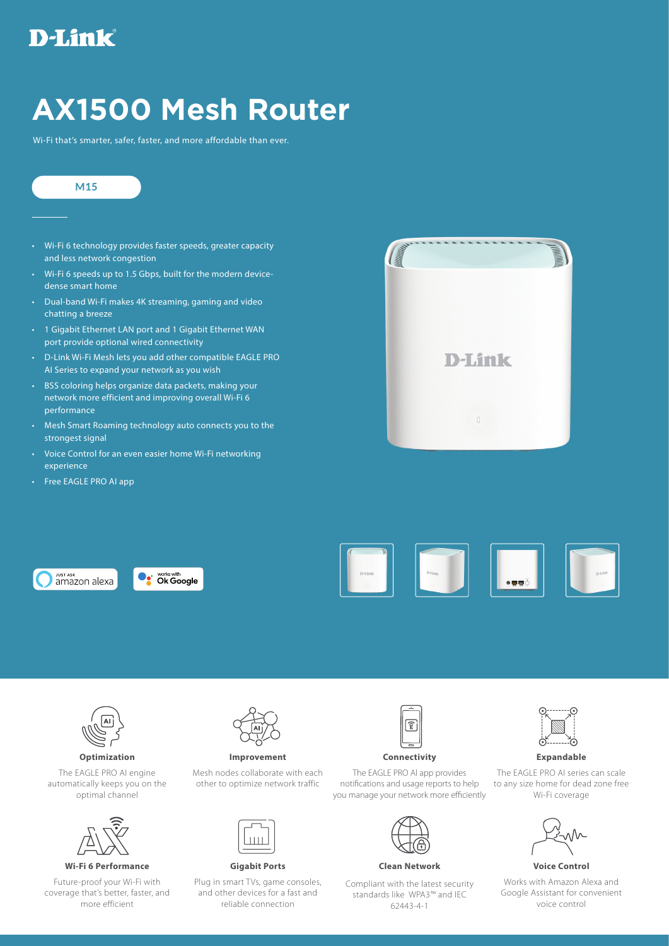## D-Link

## **AX1500 Mesh Router**

Wi-Fi that's smarter, safer, faster, and more affordable than ever.

## **M15**

- Wi-Fi 6 technology provides faster speeds, greater capacity and less network congestion
- Wi-Fi 6 speeds up to 1.5 Gbps, built for the modern devicedense smart home
- Dual-band Wi-Fi makes 4K streaming, gaming and video chatting a breeze
- 1 Gigabit Ethernet LAN port and 1 Gigabit Ethernet WAN port provide optional wired connectivity
- D-Link Wi-Fi Mesh lets you add other compatible EAGLE PRO AI Series to expand your network as you wish
- BSS coloring helps organize data packets, making your network more efficient and improving overall Wi-Fi 6 performance
- Mesh Smart Roaming technology auto connects you to the strongest signal
- Voice Control for an even easier home Wi-Fi networking experience
- Free EAGLE PRO AI app















The EAGLE PRO AI engine automatically keeps you on the optimal channel



**Wi-Fi 6 Performance Gigabit Ports Clean Network Voice Control**

Future-proof your Wi-Fi with coverage that's better, faster, and more efficient



Mesh nodes collaborate with each other to optimize network traffic



Plug in smart TVs, game consoles, and other devices for a fast and reliable connection



**Optimization Improvement Connectivity Expandable** 

The EAGLE PRO AI app provides notifications and usage reports to help you manage your network more efficiently

Compliant with the latest security standards like WPA3™ and IEC 62443-4-1



The EAGLE PRO AI series can scale to any size home for dead zone free Wi-Fi coverage



Works with Amazon Alexa and Google Assistant for convenient voice control